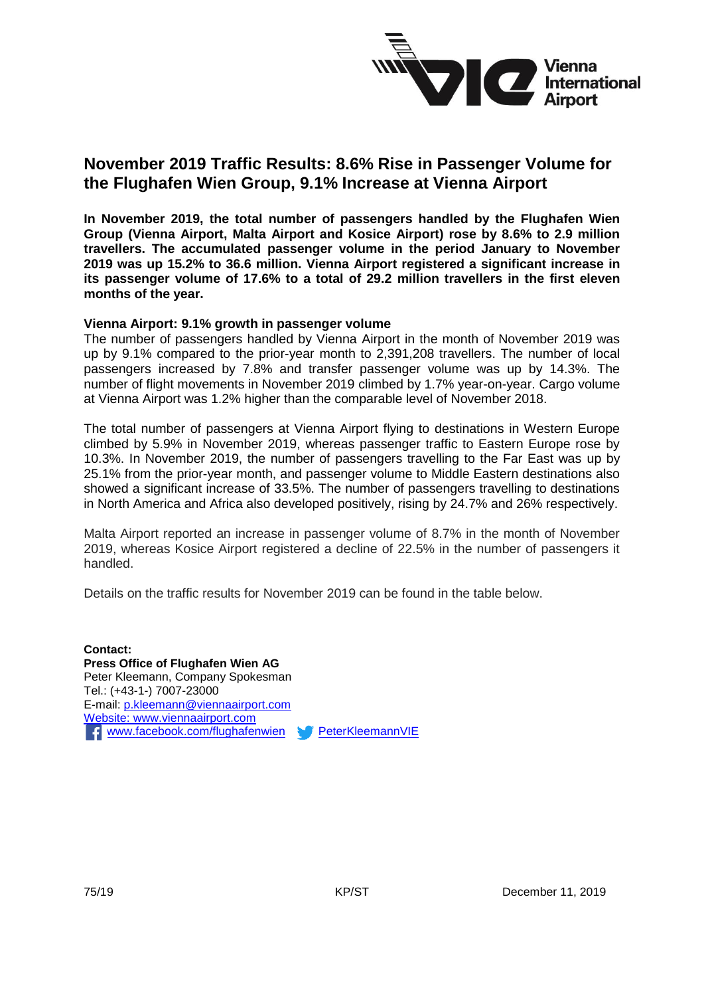

# **November 2019 Traffic Results: 8.6% Rise in Passenger Volume for the Flughafen Wien Group, 9.1% Increase at Vienna Airport**

**In November 2019, the total number of passengers handled by the Flughafen Wien Group (Vienna Airport, Malta Airport and Kosice Airport) rose by 8.6% to 2.9 million travellers. The accumulated passenger volume in the period January to November 2019 was up 15.2% to 36.6 million. Vienna Airport registered a significant increase in its passenger volume of 17.6% to a total of 29.2 million travellers in the first eleven months of the year.** 

#### **Vienna Airport: 9.1% growth in passenger volume**

The number of passengers handled by Vienna Airport in the month of November 2019 was up by 9.1% compared to the prior-year month to 2,391,208 travellers. The number of local passengers increased by 7.8% and transfer passenger volume was up by 14.3%. The number of flight movements in November 2019 climbed by 1.7% year-on-year. Cargo volume at Vienna Airport was 1.2% higher than the comparable level of November 2018.

The total number of passengers at Vienna Airport flying to destinations in Western Europe climbed by 5.9% in November 2019, whereas passenger traffic to Eastern Europe rose by 10.3%. In November 2019, the number of passengers travelling to the Far East was up by 25.1% from the prior-year month, and passenger volume to Middle Eastern destinations also showed a significant increase of 33.5%. The number of passengers travelling to destinations in North America and Africa also developed positively, rising by 24.7% and 26% respectively.

Malta Airport reported an increase in passenger volume of 8.7% in the month of November 2019, whereas Kosice Airport registered a decline of 22.5% in the number of passengers it handled.

Details on the traffic results for November 2019 can be found in the table below.

**Contact: Press Office of Flughafen Wien AG** Peter Kleemann, Company Spokesman Tel.: (+43-1-) 7007-23000 E-mail: [p.kleemann@viennaairport.com](mailto:p.kleemann@viennaairport.com) Website: [www.viennaairport.com](http://www.viennaairport.com/) F [www.facebook.com/flughafenwien](http://www.facebook.com/flughafenwien) [PeterKleemannVIE](https://twitter.com/pkleemannvie)